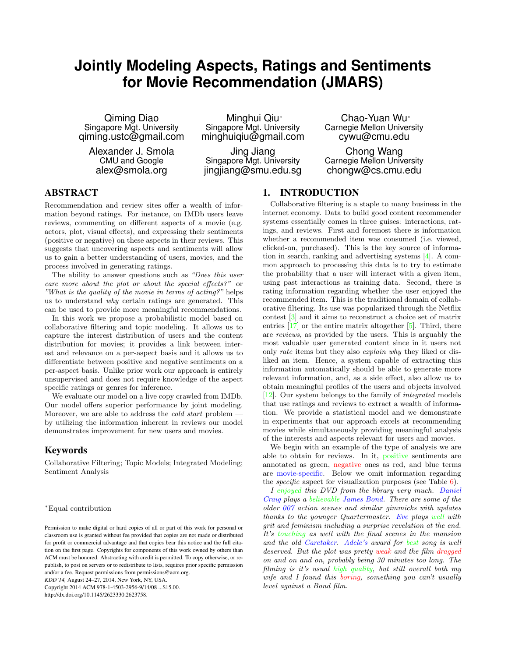# **Jointly Modeling Aspects, Ratings and Sentiments for Movie Recommendation (JMARS)**

Qiming Diao Singapore Mgt. University qiming.ustc@gmail.com

Alexander J. Smola CMU and Google alex@smola.org

Minghui Qiu<sup>∗</sup> Singapore Mgt. University minghuiqiu@gmail.com

Jing Jiang Singapore Mgt. University jingjiang@smu.edu.sg

Chao-Yuan Wu<sup>∗</sup> Carnegie Mellon University cywu@cmu.edu

Chong Wang Carnegie Mellon University chongw@cs.cmu.edu

# ABSTRACT

Recommendation and review sites offer a wealth of information beyond ratings. For instance, on IMDb users leave reviews, commenting on different aspects of a movie (e.g. actors, plot, visual effects), and expressing their sentiments (positive or negative) on these aspects in their reviews. This suggests that uncovering aspects and sentiments will allow us to gain a better understanding of users, movies, and the process involved in generating ratings.

The ability to answer questions such as "Does this user care more about the plot or about the special effects?" or "What is the quality of the movie in terms of acting?" helps us to understand why certain ratings are generated. This can be used to provide more meaningful recommendations.

In this work we propose a probabilistic model based on collaborative filtering and topic modeling. It allows us to capture the interest distribution of users and the content distribution for movies; it provides a link between interest and relevance on a per-aspect basis and it allows us to differentiate between positive and negative sentiments on a per-aspect basis. Unlike prior work our approach is entirely unsupervised and does not require knowledge of the aspect specific ratings or genres for inference.

We evaluate our model on a live copy crawled from IMDb. Our model offers superior performance by joint modeling. Moreover, we are able to address the *cold start* problem by utilizing the information inherent in reviews our model demonstrates improvement for new users and movies.

# Keywords

Collaborative Filtering; Topic Models; Integrated Modeling; Sentiment Analysis

*KDD'14,* August 24–27, 2014, New York, NY, USA.

Copyright 2014 ACM 978-1-4503-2956-9/14/08 ...\$15.00.

http://dx.doi.org/10.1145/2623330.2623758.

## 1. INTRODUCTION

Collaborative filtering is a staple to many business in the internet economy. Data to build good content recommender systems essentially comes in three guises: interactions, ratings, and reviews. First and foremost there is information whether a recommended item was consumed (i.e. viewed, clicked-on, purchased). This is the key source of information in search, ranking and advertising systems [4]. A common approach to processing this data is to try to estimate the probability that a user will interact with a given item, using past interactions as training data. Second, there is rating information regarding whether the user enjoyed the recommended item. This is the traditional domain of collaborative filtering. Its use was popularized through the Netflix contest [3] and it aims to reconstruct a choice set of matrix entries  $\left[17\right]$  or the entire matrix altogether  $\left[5\right]$ . Third, there are reviews, as provided by the users. This is arguably the most valuable user generated content since in it users not only rate items but they also explain why they liked or disliked an item. Hence, a system capable of extracting this information automatically should be able to generate more relevant information, and, as a side effect, also allow us to obtain meaningful profiles of the users and objects involved [12]. Our system belongs to the family of integrated models that use ratings and reviews to extract a wealth of information. We provide a statistical model and we demonstrate in experiments that our approach excels at recommending movies while simultaneously providing meaningful analysis of the interests and aspects relevant for users and movies.

We begin with an example of the type of analysis we are able to obtain for reviews. In it, positive sentiments are annotated as green, negative ones as red, and blue terms are movie-specific. Below we omit information regarding the *specific* aspect for visualization purposes (see Table  $6$ ).

I enjoyed this DVD from the library very much. Daniel Craig plays a believable James Bond. There are some of the older 007 action scenes and similar gimmicks with updates thanks to the younger Quartermaster. Eve plays well with grit and feminism including a surprise revelation at the end. It's touching as well with the final scenes in the mansion and the old Caretaker. Adele's award for best song is well deserved. But the plot was pretty weak and the film dragged on and on and on, probably being 30 minutes too long. The filming is it's usual high quality, but still overall both my wife and I found this boring, something you can't usually level against a Bond film.

<sup>∗</sup>Equal contribution

Permission to make digital or hard copies of all or part of this work for personal or classroom use is granted without fee provided that copies are not made or distributed for profit or commercial advantage and that copies bear this notice and the full citation on the first page. Copyrights for components of this work owned by others than ACM must be honored. Abstracting with credit is permitted. To copy otherwise, or republish, to post on servers or to redistribute to lists, requires prior specific permission and/or a fee. Request permissions from permissions@acm.org.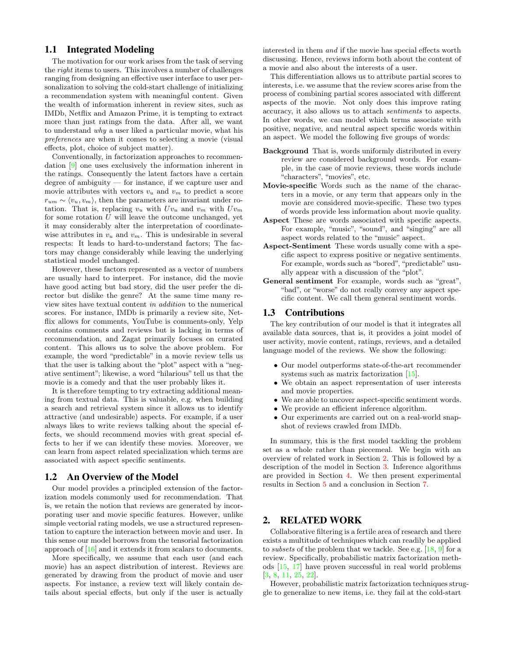## 1.1 Integrated Modeling

The motivation for our work arises from the task of serving the right items to users. This involves a number of challenges ranging from designing an effective user interface to user personalization to solving the cold-start challenge of initializing a recommendation system with meaningful content. Given the wealth of information inherent in review sites, such as IMDb, Netflix and Amazon Prime, it is tempting to extract more than just ratings from the data. After all, we want to understand why a user liked a particular movie, what his preferences are when it comes to selecting a movie (visual effects, plot, choice of subject matter).

Conventionally, in factorization approaches to recommendation [9] one uses exclusively the information inherent in the ratings. Consequently the latent factors have a certain degree of ambiguity — for instance, if we capture user and movie attributes with vectors  $v_u$  and  $v_m$  to predict a score  $r_{um} \sim \langle v_u, v_m \rangle$ , then the parameters are invariant under rotation. That is, replacing  $v_u$  with  $Uv_u$  and  $v_m$  with  $Uv_m$ for some rotation  $U$  will leave the outcome unchanged, yet it may considerably alter the interpretation of coordinatewise attributes in  $v_u$  and  $v_m$ . This is undesirable in several respects: It leads to hard-to-understand factors; The factors may change considerably while leaving the underlying statistical model unchanged.

However, these factors represented as a vector of numbers are usually hard to interpret. For instance, did the movie have good acting but bad story, did the user prefer the director but dislike the genre? At the same time many review sites have textual content in addition to the numerical scores. For instance, IMDb is primarily a review site, Netflix allows for comments, YouTube is comments-only, Yelp contains comments and reviews but is lacking in terms of recommendation, and Zagat primarily focuses on curated content. This allows us to solve the above problem. For example, the word "predictable" in a movie review tells us that the user is talking about the "plot" aspect with a "negative sentiment"; likewise, a word "hilarious" tell us that the movie is a comedy and that the user probably likes it.

It is therefore tempting to try extracting additional meaning from textual data. This is valuable, e.g. when building a search and retrieval system since it allows us to identify attractive (and undesirable) aspects. For example, if a user always likes to write reviews talking about the special effects, we should recommend movies with great special effects to her if we can identify these movies. Moreover, we can learn from aspect related specialization which terms are associated with aspect specific sentiments.

## 1.2 An Overview of the Model

Our model provides a principled extension of the factorization models commonly used for recommendation. That is, we retain the notion that reviews are generated by incorporating user and movie specific features. However, unlike simple vectorial rating models, we use a structured representation to capture the interaction between movie and user. In this sense our model borrows from the tensorial factorization approach of [16] and it extends it from scalars to documents.

More specifically, we assume that each user (and each movie) has an aspect distribution of interest. Reviews are generated by drawing from the product of movie and user aspects. For instance, a review text will likely contain details about special effects, but only if the user is actually interested in them and if the movie has special effects worth discussing. Hence, reviews inform both about the content of a movie and also about the interests of a user.

This differentiation allows us to attribute partial scores to interests, i.e. we assume that the review scores arise from the process of combining partial scores associated with different aspects of the movie. Not only does this improve rating accuracy, it also allows us to attach sentiments to aspects. In other words, we can model which terms associate with positive, negative, and neutral aspect specific words within an aspect. We model the following five groups of words:

- Background That is, words uniformly distributed in every review are considered background words. For example, in the case of movie reviews, these words include "characters", "movies", etc.
- Movie-specific Words such as the name of the characters in a movie, or any term that appears only in the movie are considered movie-specific. These two types of words provide less information about movie quality.
- Aspect These are words associated with specific aspects. For example, "music", "sound", and "singing" are all aspect words related to the "music" aspect.
- Aspect-Sentiment These words usually come with a specific aspect to express positive or negative sentiments. For example, words such as "bored", "predictable" usually appear with a discussion of the "plot".
- General sentiment For example, words such as "great", "bad", or "worse" do not really convey any aspect specific content. We call them general sentiment words.

#### 1.3 Contributions

The key contribution of our model is that it integrates all available data sources, that is, it provides a joint model of user activity, movie content, ratings, reviews, and a detailed language model of the reviews. We show the following:

- Our model outperforms state-of-the-art recommender systems such as matrix factorization [15].
- We obtain an aspect representation of user interests and movie properties.
- We are able to uncover aspect-specific sentiment words.
- We provide an efficient inference algorithm.
- Our experiments are carried out on a real-world snapshot of reviews crawled from IMDb.

In summary, this is the first model tackling the problem set as a whole rather than piecemeal. We begin with an overview of related work in Section 2. This is followed by a description of the model in Section 3. Inference algorithms are provided in Section 4. We then present experimental results in Section 5 and a conclusion in Section 7.

# 2. RELATED WORK

Collaborative filtering is a fertile area of research and there exists a multitude of techniques which can readily be applied to subsets of the problem that we tackle. See e.g. [18, 9] for a review. Specifically, probabilistic matrix factorization methods [15, 17] have proven successful in real world problems [3, 8, 11, 25, 22].

However, probabilistic matrix factorization techniques struggle to generalize to new items, i.e. they fail at the cold-start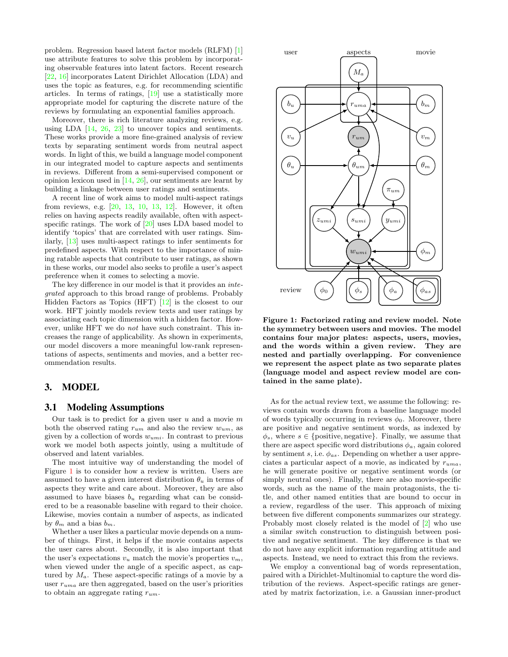problem. Regression based latent factor models (RLFM) [1] use attribute features to solve this problem by incorporating observable features into latent factors. Recent research [22, 16] incorporates Latent Dirichlet Allocation (LDA) and uses the topic as features, e.g. for recommending scientific articles. In terms of ratings, [19] use a statistically more appropriate model for capturing the discrete nature of the reviews by formulating an exponential families approach.

Moreover, there is rich literature analyzing reviews, e.g. using LDA [14, 26, 23] to uncover topics and sentiments. These works provide a more fine-grained analysis of review texts by separating sentiment words from neutral aspect words. In light of this, we build a language model component in our integrated model to capture aspects and sentiments in reviews. Different from a semi-supervised component or opinion lexicon used in  $[14, 26]$ , our sentiments are learnt by building a linkage between user ratings and sentiments.

A recent line of work aims to model multi-aspect ratings from reviews, e.g. [20, 13, 10, 13, 12]. However, it often relies on having aspects readily available, often with aspectspecific ratings. The work of [20] uses LDA based model to identify 'topics' that are correlated with user ratings. Similarly, [13] uses multi-aspect ratings to infer sentiments for predefined aspects. With respect to the importance of mining ratable aspects that contribute to user ratings, as shown in these works, our model also seeks to profile a user's aspect preference when it comes to selecting a movie.

The key difference in our model is that it provides an *inte*grated approach to this broad range of problems. Probably Hidden Factors as Topics (HFT) [12] is the closest to our work. HFT jointly models review texts and user ratings by associating each topic dimension with a hidden factor. However, unlike HFT we do not have such constraint. This increases the range of applicability. As shown in experiments, our model discovers a more meaningful low-rank representations of aspects, sentiments and movies, and a better recommendation results.

# 3. MODEL

## 3.1 Modeling Assumptions

Our task is to predict for a given user  $u$  and a movie  $m$ both the observed rating  $r_{um}$  and also the review  $w_{um}$ , as given by a collection of words  $w_{umi}$ . In contrast to previous work we model both aspects jointly, using a multitude of observed and latent variables.

The most intuitive way of understanding the model of Figure 1 is to consider how a review is written. Users are assumed to have a given interest distribution  $\theta_u$  in terms of aspects they write and care about. Moreover, they are also assumed to have biases  $b<sub>u</sub>$  regarding what can be considered to be a reasonable baseline with regard to their choice. Likewise, movies contain a number of aspects, as indicated by  $\theta_m$  and a bias  $b_m$ .

Whether a user likes a particular movie depends on a number of things. First, it helps if the movie contains aspects the user cares about. Secondly, it is also important that the user's expectations  $v_u$  match the movie's properties  $v_m$ , when viewed under the angle of a specific aspect, as captured by  $M_a$ . These aspect-specific ratings of a movie by a user  $r_{uma}$  are then aggregated, based on the user's priorities to obtain an aggregate rating  $r_{um}$ .



Figure 1: Factorized rating and review model. Note the symmetry between users and movies. The model contains four major plates: aspects, users, movies, and the words within a given review. They are nested and partially overlapping. For convenience we represent the aspect plate as two separate plates (language model and aspect review model are contained in the same plate).

As for the actual review text, we assume the following: reviews contain words drawn from a baseline language model of words typically occurring in reviews  $\phi_0$ . Moreover, there are positive and negative sentiment words, as indexed by  $\phi_s$ , where  $s \in \{\text{positive}, \text{negative}\}.$  Finally, we assume that there are aspect specific word distributions  $\phi_a$ , again colored by sentiment s, i.e.  $\phi_{as}$ . Depending on whether a user appreciates a particular aspect of a movie, as indicated by  $r_{uma}$ , he will generate positive or negative sentiment words (or simply neutral ones). Finally, there are also movie-specific words, such as the name of the main protagonists, the title, and other named entities that are bound to occur in a review, regardless of the user. This approach of mixing between five different components summarizes our strategy. Probably most closely related is the model of [2] who use a similar switch construction to distinguish between positive and negative sentiment. The key difference is that we do not have any explicit information regarding attitude and aspects. Instead, we need to extract this from the reviews.

We employ a conventional bag of words representation, paired with a Dirichlet-Multinomial to capture the word distribution of the reviews. Aspect-specific ratings are generated by matrix factorization, i.e. a Gaussian inner-product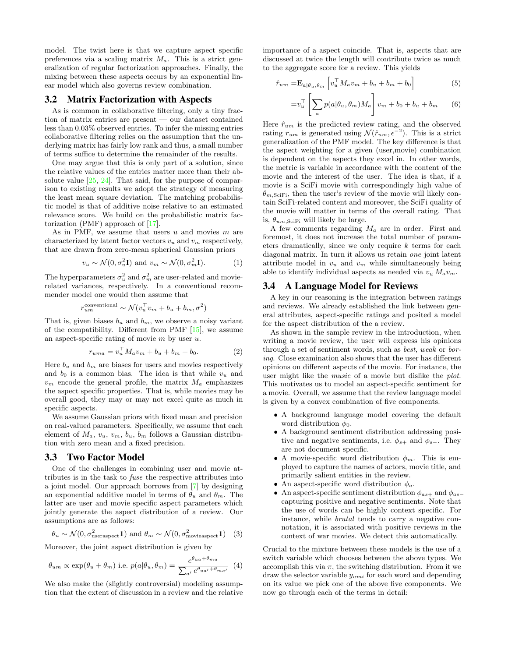model. The twist here is that we capture aspect specific preferences via a scaling matrix  $M_a$ . This is a strict generalization of regular factorization approaches. Finally, the mixing between these aspects occurs by an exponential linear model which also governs review combination.

#### 3.2 Matrix Factorization with Aspects

As is common in collaborative filtering, only a tiny fraction of matrix entries are present — our dataset contained less than 0.03% observed entries. To infer the missing entries collaborative filtering relies on the assumption that the underlying matrix has fairly low rank and thus, a small number of terms suffice to determine the remainder of the results.

One may argue that this is only part of a solution, since the relative values of the entries matter more than their absolute value [25, 24]. That said, for the purpose of comparison to existing results we adopt the strategy of measuring the least mean square deviation. The matching probabilistic model is that of additive noise relative to an estimated relevance score. We build on the probabilistic matrix factorization (PMF) approach of [17].

As in PMF, we assume that users  $u$  and movies  $m$  are characterized by latent factor vectors  $v_u$  and  $v_m$  respectively, that are drawn from zero-mean spherical Gaussian priors

$$
v_u \sim \mathcal{N}(0, \sigma_u^2 \mathbf{I}) \text{ and } v_m \sim \mathcal{N}(0, \sigma_m^2 \mathbf{I}).
$$
 (1)

The hyperparameters  $\sigma_u^2$  and  $\sigma_m^2$  are user-related and movierelated variances, respectively. In a conventional recommender model one would then assume that

$$
r_{um}^{\text{conventional}} \sim \mathcal{N}(v_u^\top v_m + b_u + b_m, \sigma^2)
$$

That is, given biases  $b_u$  and  $b_m$ , we observe a noisy variant of the compatibility. Different from PMF  $[15]$ , we assume an aspect-specific rating of movie  $m$  by user  $u$ .

$$
r_{uma} = v_u^{\top} M_a v_m + b_u + b_m + b_0.
$$
 (2)

Here  $b_u$  and  $b_m$  are biases for users and movies respectively and  $b_0$  is a common bias. The idea is that while  $v_u$  and  $v_m$  encode the general profile, the matrix  $M_a$  emphasizes the aspect specific properties. That is, while movies may be overall good, they may or may not excel quite as much in specific aspects.

We assume Gaussian priors with fixed mean and precision on real-valued parameters. Specifically, we assume that each element of  $M_a, v_u, v_m, b_u, b_m$  follows a Gaussian distribution with zero mean and a fixed precision.

#### 3.3 Two Factor Model

One of the challenges in combining user and movie attributes is in the task to fuse the respective attributes into a joint model. Our approach borrows from [7] by designing an exponential additive model in terms of  $\theta_u$  and  $\theta_m$ . The latter are user and movie specific aspect parameters which jointly generate the aspect distribution of a review. Our assumptions are as follows:

$$
\theta_u \sim \mathcal{N}(0, \sigma_{\text{useraspect}}^2 \mathbf{1})
$$
 and  $\theta_m \sim \mathcal{N}(0, \sigma_{\text{movieaspect}}^2 \mathbf{1})$  (3)

Moreover, the joint aspect distribution is given by

$$
\theta_{um} \propto \exp(\theta_u + \theta_m) \text{ i.e. } p(a|\theta_u, \theta_m) = \frac{e^{\theta_{ua} + \theta_{ma}}}{\sum_{a'} e^{\theta_{ua'} + \theta_{ma'}}} \tag{4}
$$

We also make the (slightly controversial) modeling assumption that the extent of discussion in a review and the relative importance of a aspect coincide. That is, aspects that are discussed at twice the length will contribute twice as much to the aggregate score for a review. This yields

$$
\hat{r}_{um} = \mathbf{E}_{a|\theta_u, \theta_m} \left[ v_u^\top M_a v_m + b_u + b_m + b_0 \right] \tag{5}
$$

$$
=v_u^{\top} \left[ \sum_a p(a|\theta_u, \theta_m) M_a \right] v_m + b_0 + b_u + b_m \qquad (6)
$$

Here  $\hat{r}_{um}$  is the predicted review rating, and the observed rating  $r_{um}$  is generated using  $\mathcal{N}(\hat{r}_{um}, \epsilon^{-2})$ . This is a strict generalization of the PMF model. The key difference is that the aspect weighting for a given (user,movie) combination is dependent on the aspects they excel in. In other words, the metric is variable in accordance with the content of the movie and the interest of the user. The idea is that, if a movie is a SciFi movie with correspondingly high value of  $\theta_{m,\text{SciFi}}$ , then the user's review of the movie will likely contain SciFi-related content and moreover, the SciFi quality of the movie will matter in terms of the overall rating. That is,  $\theta_{um,SciFi}$  will likely be large.

A few comments regarding  $M_a$  are in order. First and foremost, it does not increase the total number of parameters dramatically, since we only require  $k$  terms for each diagonal matrix. In turn it allows us retain one joint latent attribute model in  $v_u$  and  $v_m$  while simultaneously being able to identify individual aspects as needed via  $v_u^{\top} M_a v_m$ .

#### 3.4 A Language Model for Reviews

A key in our reasoning is the integration between ratings and reviews. We already established the link between general attributes, aspect-specific ratings and posited a model for the aspect distribution of the a review.

As shown in the sample review in the introduction, when writing a movie review, the user will express his opinions through a set of sentiment words, such as best, weak or boring. Close examination also shows that the user has different opinions on different aspects of the movie. For instance, the user might like the music of a movie but dislike the plot. This motivates us to model an aspect-specific sentiment for a movie. Overall, we assume that the review language model is given by a convex combination of five components.

- A background language model covering the default word distribution  $\phi_0$ .
- A background sentiment distribution addressing positive and negative sentiments, i.e.  $\phi_{s+}$  and  $\phi_{s-}$ . They are not document specific.
- A movie-specific word distribution  $\phi_m$ . This is employed to capture the names of actors, movie title, and primarily salient entities in the review.
- An aspect-specific word distribution  $\phi_a$ .
- An aspect-specific sentiment distribution  $\phi_{as+}$  and  $\phi_{as-}$ capturing positive and negative sentiments. Note that the use of words can be highly context specific. For instance, while brutal tends to carry a negative connotation, it is associated with positive reviews in the context of war movies. We detect this automatically.

Crucial to the mixture between these models is the use of a switch variable which chooses between the above types. We accomplish this via  $\pi$ , the switching distribution. From it we draw the selector variable  $y_{umi}$  for each word and depending on its value we pick one of the above five components. We now go through each of the terms in detail: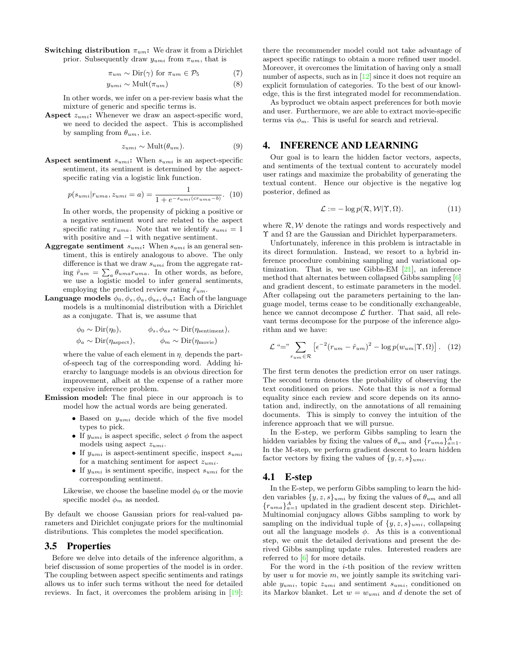**Switching distribution**  $\pi_{um}$ : We draw it from a Dirichlet prior. Subsequently draw  $y_{umi}$  from  $\pi_{um}$ , that is

$$
\pi_{um} \sim \text{Dir}(\gamma) \text{ for } \pi_{um} \in \mathcal{P}_5 \tag{7}
$$

$$
y_{umi} \sim \text{Mult}(\pi_{um}) \tag{8}
$$

In other words, we infer on a per-review basis what the mixture of generic and specific terms is.

**Aspect**  $z_{umi}$ : Whenever we draw an aspect-specific word, we need to decided the aspect. This is accomplished by sampling from  $\theta_{um}$ , i.e.

$$
z_{umi} \sim \text{Mult}(\theta_{um}).\tag{9}
$$

**Aspect sentiment**  $s_{umi}$ : When  $s_{umi}$  is an aspect-specific sentiment, its sentiment is determined by the aspectspecific rating via a logistic link function.

$$
p(s_{umi}|r_{uma}, z_{umi} = a) = \frac{1}{1 + e^{-s_{umi}(cr_{uma} - b)}}.
$$
 (10)

In other words, the propensity of picking a positive or a negative sentiment word are related to the aspect specific rating  $r_{uma}$ . Note that we identify  $s_{umi} = 1$ with positive and −1 with negative sentiment.

- **Aggregate sentiment**  $s_{umi}$ : When  $s_{umi}$  is an general sentiment, this is entirely analogous to above. The only difference is that we draw  $s_{umi}$  from the aggregate rating  $\hat{r}_{um} = \sum_{a} \theta_{uma} r_{uma}$ . In other words, as before, we use a logistic model to infer general sentiments, employing the predicted review rating  $\hat{r}_{um}$ .
- **Language models**  $\phi_0, \phi_s, \phi_a, \phi_{as}, \phi_m$ : Each of the language models is a multinomial distribution with a Dirichlet as a conjugate. That is, we assume that

$$
\phi_0 \sim \text{Dir}(\eta_0),
$$
\n $\phi_s, \phi_{as} \sim \text{Dir}(\eta_{\text{sentiment}}),$ \n $\phi_a \sim \text{Dir}(\eta_{\text{aspect}}),$ \n $\phi_m \sim \text{Dir}(\eta_{\text{move}})$ 

where the value of each element in  $\eta$  depends the partof-speech tag of the corresponding word. Adding hierarchy to language models is an obvious direction for improvement, albeit at the expense of a rather more expensive inference problem.

Emission model: The final piece in our approach is to model how the actual words are being generated.

- Based on  $y_{umi}$  decide which of the five model types to pick.
- If  $y_{umi}$  is aspect specific, select  $\phi$  from the aspect models using aspect  $z_{umi}$ .
- If  $y_{umi}$  is aspect-sentiment specific, inspect  $s_{umi}$ for a matching sentiment for aspect  $z_{umi}$ .
- If  $y_{umi}$  is sentiment specific, inspect  $s_{umi}$  for the corresponding sentiment.

Likewise, we choose the baseline model  $\phi_0$  or the movie specific model  $\phi_m$  as needed.

By default we choose Gaussian priors for real-valued parameters and Dirichlet conjugate priors for the multinomial distributions. This completes the model specification.

#### 3.5 Properties

Before we delve into details of the inference algorithm, a brief discussion of some properties of the model is in order. The coupling between aspect specific sentiments and ratings allows us to infer such terms without the need for detailed reviews. In fact, it overcomes the problem arising in [19]:

there the recommender model could not take advantage of aspect specific ratings to obtain a more refined user model. Moreover, it overcomes the limitation of having only a small number of aspects, such as in [12] since it does not require an explicit formulation of categories. To the best of our knowledge, this is the first integrated model for recommendation.

As byproduct we obtain aspect preferences for both movie and user. Furthermore, we are able to extract movie-specific terms via  $\phi_m$ . This is useful for search and retrieval.

## 4. INFERENCE AND LEARNING

Our goal is to learn the hidden factor vectors, aspects, and sentiments of the textual content to accurately model user ratings and maximize the probability of generating the textual content. Hence our objective is the negative log posterior, defined as

$$
\mathcal{L} := -\log p(\mathcal{R}, \mathcal{W}|\Upsilon, \Omega). \tag{11}
$$

where  $R, W$  denote the ratings and words respectively and  $\Upsilon$  and  $\Omega$  are the Gaussian and Dirichlet hyperparameters.

Unfortunately, inference in this problem is intractable in its direct formulation. Instead, we resort to a hybrid inference procedure combining sampling and variational optimization. That is, we use Gibbs-EM  $[21]$ , an inference method that alternates between collapsed Gibbs sampling [6] and gradient descent, to estimate parameters in the model. After collapsing out the parameters pertaining to the language model, terms cease to be conditionally exchangeable, hence we cannot decompose  $\mathcal L$  further. That said, all relevant terms decompose for the purpose of the inference algorithm and we have:

$$
\mathcal{L} \overset{\text{def}}{=} \sum_{r_{um} \in \mathcal{R}} \left[ \epsilon^{-2} (r_{um} - \hat{r}_{um})^2 - \log p(w_{um} | \Upsilon, \Omega) \right]. \tag{12}
$$

The first term denotes the prediction error on user ratings. The second term denotes the probability of observing the text conditioned on priors. Note that this is not a formal equality since each review and score depends on its annotation and, indirectly, on the annotations of all remaining documents. This is simply to convey the intuition of the inference approach that we will pursue.

In the E-step, we perform Gibbs sampling to learn the hidden variables by fixing the values of  $\theta_{um}$  and  $\{r_{uma}\}_{a=1}^A$ . In the M-step, we perform gradient descent to learn hidden factor vectors by fixing the values of  $\{y, z, s\}_{umi}$ .

# 4.1 E-step

In the E-step, we perform Gibbs sampling to learn the hidden variables  $\{y, z, s\}_{umi}$  by fixing the values of  $\theta_{um}$  and all  ${r_{uma}}_{a=1}^A$  updated in the gradient descent step. Dirichlet-Multinomial conjugacy allows Gibbs sampling to work by sampling on the individual tuple of  $\{y, z, s\}_{umi}$ , collapsing out all the language models  $\phi$ . As this is a conventional step, we omit the detailed derivations and present the derived Gibbs sampling update rules. Interested readers are referred to [6] for more details.

For the word in the  $i$ -th position of the review written by user  $u$  for movie  $m$ , we jointly sample its switching variable  $y_{umi}$ , topic  $z_{umi}$  and sentiment  $s_{umi}$ , conditioned on its Markov blanket. Let  $w = w_{umi}$  and d denote the set of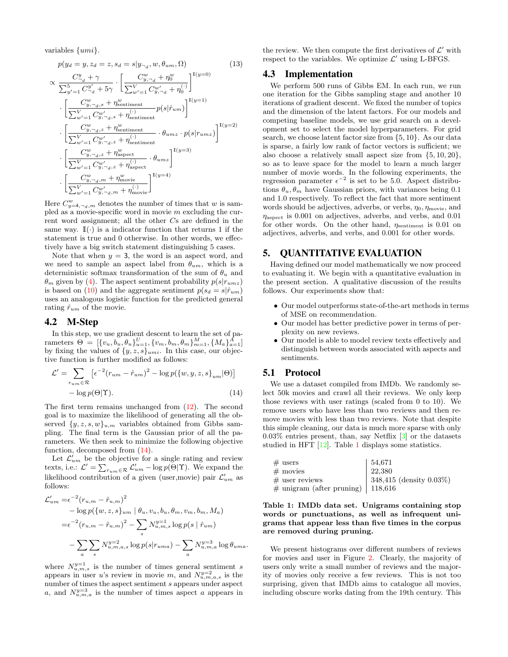variables  $\{umi\}$ .

$$
p(y_d = y, z_d = z, s_d = s | y_{\neg d}, w, \theta_{um}, \Omega) \qquad (13)
$$
  
\n
$$
\propto \frac{C_{\neg d}^y + \gamma}{\sum_{y'=1}^5 C_{\neg d}^{y'} + 5\gamma} \cdot \left[ \frac{C_{y,\neg d}^w + \eta_0^w}{\sum_{w'=1}^V C_{y,\neg d}^w + \eta_0^{(\cdot)}} \right]^{I(y=0)} \cdot \left[ \frac{C_{y,\neg d,s}^w + \eta_{\text{sentiment}}^{sw}}{\sum_{w'=1}^V C_{y,\neg d,s}^{w'} + \eta_{\text{sentiment}}^{(\cdot)}} p(s|\hat{r}_{um}) \right]^{I(y=1)} \cdot \left[ \frac{C_{y,\neg d,s}^w + \eta_{\text{sentiment}}^{w}}{\sum_{w'=1}^V C_{y,\neg d,s}^w + \eta_{\text{sentiment}}^{(\cdot)}} \cdot \theta_{umz} \cdot p(s|r_{umz}) \right]^{I(y=2)} \cdot \left[ \frac{C_{y,\neg d,s}^w + \eta_{\text{aspect}}^{w}}{\sum_{w'=1}^V C_{y,\neg d,s}^{w'} + \eta_{\text{aspect}}^{(\cdot)}} \cdot \theta_{umz} \right]^{I(y=3)} \cdot \left[ \frac{C_{y,\neg d,m}^w + \eta_{\text{move}}^{w}}{\sum_{w'=1}^V C_{y,\neg d,m}^{w} + \eta_{\text{move}}^{(\cdot)}} \right]^{I(y=4)} \cdot \left[ \frac{C_{y,\neg d,m}^w + \eta_{\text{move}}^{w}}{\sum_{w'=1}^V C_{y,\neg d,m}^{w'} + \eta_{\text{move}}^{(\cdot)}} \right]^{I(y=4)}
$$

Here  $C_{y=4, \neg_d,m}^w$  denotes the number of times that w is sampled as a movie-specific word in movie m excluding the current word assignment; all the other Cs are defined in the same way.  $\mathbb{I}(\cdot)$  is a indicator function that returns 1 if the statement is true and 0 otherwise. In other words, we effectively have a big switch statement distinguishing 5 cases.

Note that when  $y = 3$ , the word is an aspect word, and we need to sample an aspect label from  $\theta_{um}$ , which is a deterministic softmax transformation of the sum of  $\theta_u$  and  $\theta_m$  given by (4). The aspect sentiment probability  $p(s|r_{umz})$ is based on (10) and the aggregate sentiment  $p(s_d = s | \hat{r}_{um})$ uses an analogous logistic function for the predicted general rating  $\hat{r}_{um}$  of the movie.

## 4.2 M-Step

In this step, we use gradient descent to learn the set of parameters  $\Theta = [\{v_u, b_u, \theta_u\}_{u=1}^U, \{v_m, b_m, \theta_m\}_{m=1}^M, \{M_a\}_{a=1}^A]$ by fixing the values of  $\{y, z, s\}_{umi}$ . In this case, our objective function is further modified as follows:

$$
\mathcal{L}' = \sum_{r_{um} \in \mathcal{R}} \left[ \epsilon^{-2} (r_{um} - \hat{r}_{um})^2 - \log p(\lbrace w, y, z, s \rbrace_{um} | \Theta) \right] - \log p(\Theta | \Upsilon).
$$
\n(14)

The first term remains unchanged from (12). The second goal is to maximize the likelihood of generating all the observed  $\{y, z, s, w\}_{u,m}$  variables obtained from Gibbs sampling. The final term is the Gaussian prior of all the parameters. We then seek to minimize the following objective function, decomposed from (14).

Let  $\mathcal{L}'_{um}$  be the objective for a single rating and review texts, i.e.:  $\mathcal{L}' = \sum_{r_{um} \in \mathcal{R}} \mathcal{L}'_{um} - \log p(\Theta | \Upsilon)$ . We expand the likelihood contribution of a given (user, movie) pair  $\mathcal{L}'_{um}$  as follows:

$$
\mathcal{L}'_{um} = \epsilon^{-2} (r_{u,m} - \hat{r}_{u,m})^2
$$
  
- log p({w, z, s}\_{um} | \theta\_u, v\_u, b\_u, \theta\_m, v\_m, b\_m, M\_a)  
=  $\epsilon^{-2} (r_{u,m} - \hat{r}_{u,m})^2 - \sum_s N_{u,m,s}^{y=1} \log p(s | \hat{r}_{um})$   
-  $\sum_a \sum_s N_{u,m,a,s}^{y=2} \log p(s | r_{uma}) - \sum_a N_{u,m,a}^{y=3} \log \theta_{uma}.$ 

where  $N_{u,m,s}^{y=1}$  is the number of times general sentiment s appears in user u's review in movie m, and  $N_{u,m,a,s}^{y=2}$  is the number of times the aspect sentiment s appears under aspect a, and  $N_{u,m,a}^{y=3}$  is the number of times aspect a appears in

the review. We then compute the first derivatives of  $\mathcal{L}'$  with respect to the variables. We optimize  $\mathcal{L}'$  using L-BFGS.

## 4.3 Implementation

We perform 500 runs of Gibbs EM. In each run, we run one iteration for the Gibbs sampling stage and another 10 iterations of gradient descent. We fixed the number of topics and the dimension of the latent factors. For our models and competing baseline models, we use grid search on a development set to select the model hyperparameters. For grid search, we choose latent factor size from {5, 10}. As our data is sparse, a fairly low rank of factor vectors is sufficient; we also choose a relatively small aspect size from  $\{5, 10, 20\}$ , so as to leave space for the model to learn a much larger number of movie words. In the following experiments, the regression parameter  $\epsilon^{-2}$  is set to be 5.0. Aspect distributions  $\theta_u, \theta_m$  have Gaussian priors, with variances being 0.1 and 1.0 respectively. To reflect the fact that more sentiment words should be adjectives, adverbs, or verbs,  $\eta_0, \eta_{\text{move}}$ , and  $\eta_{\text{aspect}}$  is 0.001 on adjectives, adverbs, and verbs, and 0.01 for other words. On the other hand,  $\eta_{\text{sentiment}}$  is 0.01 on adjectives, adverbs, and verbs, and 0.001 for other words.

# 5. QUANTITATIVE EVALUATION

Having defined our model mathematically we now proceed to evaluating it. We begin with a quantitative evaluation in the present section. A qualitative discussion of the results follows. Our experiments show that:

- Our model outperforms state-of-the-art methods in terms of MSE on recommendation.
- Our model has better predictive power in terms of perplexity on new reviews.
- Our model is able to model review texts effectively and distinguish between words associated with aspects and sentiments.

#### 5.1 Protocol

We use a dataset compiled from IMDb. We randomly select 50k movies and crawl all their reviews. We only keep those reviews with user ratings (scaled from 0 to 10). We remove users who have less than two reviews and then remove movies with less than two reviews. Note that despite this simple cleaning, our data is much more sparse with only 0.03% entries present, than, say Netflix [3] or the datasets studied in HFT [12]. Table 1 displays some statistics.

| $#$ users                              | 1,54,671                  |
|----------------------------------------|---------------------------|
| $#$ movies                             | $22.380$                  |
| $#$ user reviews                       | $348,415$ (density 0.03%) |
| $\#$ unigram (after pruning)   118,616 |                           |

#### Table 1: IMDb data set. Unigrams containing stop words or punctuations, as well as infrequent unigrams that appear less than five times in the corpus are removed during pruning.

We present histograms over different numbers of reviews for movies and user in Figure 2. Clearly, the majority of users only write a small number of reviews and the majority of movies only receive a few reviews. This is not too surprising, given that IMDb aims to catalogue all movies, including obscure works dating from the 19th century. This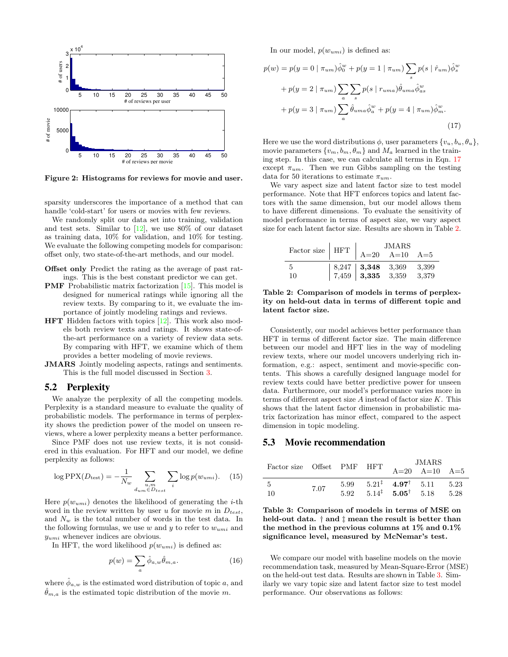

Figure 2: Histograms for reviews for movie and user.

sparsity underscores the importance of a method that can handle 'cold-start' for users or movies with few reviews.

We randomly split our data set into training, validation and test sets. Similar to [12], we use 80% of our dataset as training data, 10% for validation, and 10% for testing. We evaluate the following competing models for comparison: offset only, two state-of-the-art methods, and our model.

- Offset only Predict the rating as the average of past ratings. This is the best constant predictor we can get.
- PMF Probabilistic matrix factorization [15]. This model is designed for numerical ratings while ignoring all the review texts. By comparing to it, we evaluate the importance of jointly modeling ratings and reviews.
- **HFT** Hidden factors with topics  $[12]$ . This work also models both review texts and ratings. It shows state-ofthe-art performance on a variety of review data sets. By comparing with HFT, we examine which of them provides a better modeling of movie reviews.
- JMARS Jointly modeling aspects, ratings and sentiments. This is the full model discussed in Section 3.

## 5.2 Perplexity

We analyze the perplexity of all the competing models. Perplexity is a standard measure to evaluate the quality of probabilistic models. The performance in terms of perplexity shows the prediction power of the model on unseen reviews, where a lower perplexity means a better performance.

Since PMF does not use review texts, it is not considered in this evaluation. For HFT and our model, we define perplexity as follows:

$$
\log \text{PPX}(D_{\text{test}}) = -\frac{1}{N_w} \sum_{\substack{u,m\\du_m \in D_{test}}} \sum_i \log p(w_{umi}). \quad (15)
$$

Here  $p(w_{umi})$  denotes the likelihood of generating the *i*-th word in the review written by user u for movie m in  $D_{test}$ , and  $N_w$  is the total number of words in the test data. In the following formulas, we use  $w$  and  $y$  to refer to  $w_{umi}$  and  $y_{umi}$  whenever indices are obvious.

In HFT, the word likelihood  $p(w_{umi})$  is defined as:

$$
p(w) = \sum_{a} \hat{\phi}_{a,w} \hat{\theta}_{m,a}.
$$
 (16)

where  $\hat{\phi}_{a,w}$  is the estimated word distribution of topic a, and  $\hat{\theta}_{m,a}$  is the estimated topic distribution of the movie m.

In our model,  $p(w_{umi})$  is defined as:

$$
p(w) = p(y = 0 \mid \pi_{um}) \hat{\phi}_0^w + p(y = 1 \mid \pi_{um}) \sum_s p(s \mid \hat{r}_{um}) \hat{\phi}_s^w
$$

$$
+ p(y = 2 \mid \pi_{um}) \sum_a \sum_s p(s \mid r_{uma}) \hat{\theta}_{uma} \hat{\phi}_a^w
$$

$$
+ p(y = 3 \mid \pi_{um}) \sum_a \hat{\theta}_{uma} \hat{\phi}_a^w + p(y = 4 \mid \pi_{um}) \hat{\phi}_m^w.
$$
(17)

Here we use the word distributions  $\phi$ , user parameters  $\{v_u, b_u, \theta_u\},\$ movie parameters  $\{v_m, b_m, \theta_m\}$  and  $M_a$  learned in the training step. In this case, we can calculate all terms in Eqn. 17 except  $\pi_{um}$ . Then we run Gibbs sampling on the testing data for 50 iterations to estimate  $\pi_{um}$ .

We vary aspect size and latent factor size to test model performance. Note that HFT enforces topics and latent factors with the same dimension, but our model allows them to have different dimensions. To evaluate the sensitivity of model performance in terms of aspect size, we vary aspect size for each latent factor size. Results are shown in Table 2.

|     |  | Factor size   HFT   $A=20$ $A=10$ $A=5$                                                                                              |  |  |  |  |
|-----|--|--------------------------------------------------------------------------------------------------------------------------------------|--|--|--|--|
|     |  |                                                                                                                                      |  |  |  |  |
| -5  |  | $\begin{array}{ l}8,247&\textbf{3,348}&\textbf{3,369}&\textbf{3,399}\\7,459&\textbf{3,335}&\textbf{3,359}&\textbf{3,379}\end{array}$ |  |  |  |  |
| -10 |  |                                                                                                                                      |  |  |  |  |

Table 2: Comparison of models in terms of perplexity on held-out data in terms of different topic and latent factor size.

Consistently, our model achieves better performance than HFT in terms of different factor size. The main difference between our model and HFT lies in the way of modeling review texts, where our model uncovers underlying rich information, e.g.: aspect, sentiment and movie-specific contents. This shows a carefully designed language model for review texts could have better predictive power for unseen data. Furthermore, our model's performance varies more in terms of different aspect size  $A$  instead of factor size  $K$ . This shows that the latent factor dimension in probabilistic matrix factorization has minor effect, compared to the aspect dimension in topic modeling.

## 5.3 Movie recommendation

|     | Factor size Offset PMF HFT |      |  | JMARS                                         |  |      |
|-----|----------------------------|------|--|-----------------------------------------------|--|------|
|     |                            |      |  | $A=20$ $A=10$ $A=5$                           |  |      |
| - 5 | 7.07                       | 5.99 |  | $5.21^{\ddagger}$ 4.97 <sup>†</sup> 5.11 5.23 |  |      |
| -10 |                            | 5.92 |  | $5.14^{\ddagger}$ 5.05 <sup>†</sup> 5.18      |  | 5.28 |

Table 3: Comparison of models in terms of MSE on held-out data. † and ‡ mean the result is better than the method in the previous columns at 1% and 0.1% significance level, measured by McNemar's test.

We compare our model with baseline models on the movie recommendation task, measured by Mean-Square-Error (MSE) on the held-out test data. Results are shown in Table 3. Similarly we vary topic size and latent factor size to test model performance. Our observations as follows: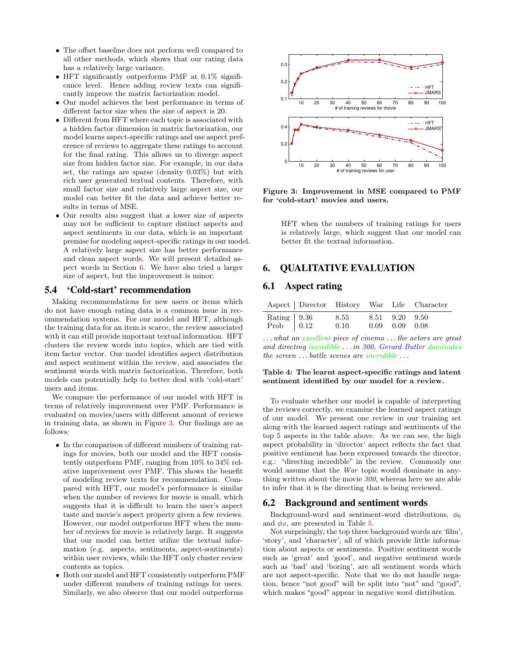- The offset baseline does not perform well compared to all other methods, which shows that our rating data has a relatively large variance.
- HFT significantly outperforms PMF at 0.1% significance level. Hence adding review texts can significantly improve the matrix factorization model.
- Our model achieves the best performance in terms of different factor size when the size of aspect is 20.
- Different from HFT where each topic is associated with a hidden factor dimension in matrix factorization, our model learns aspect-specific ratings and use aspect preference of reviews to aggregate these ratings to account for the final rating. This allows us to diverge aspect size from hidden factor size. For example, in our data set, the ratings are sparse (density 0.03%) but with rich user generated textual contents. Therefore, with small factor size and relatively large aspect size, our model can better fit the data and achieve better results in terms of MSE.
- Our results also suggest that a lower size of aspects may not be sufficient to capture distinct aspects and aspect sentiments in our data, which is an important premise for modeling aspect-specific ratings in our model. A relatively large aspect size has better performance and clean aspect words. We will present detailed aspect words in Section 6. We have also tried a larger size of aspect, but the improvement is minor.

## 5.4 'Cold-start' recommendation

Making recommendations for new users or items which do not have enough rating data is a common issue in recommendation systems. For our model and HFT, although the training data for an item is scarce, the review associated with it can still provide important textual information. HFT clusters the review words into topics, which are tied with item factor vector. Our model identifies aspect distribution and aspect sentiment within the review, and associates the sentiment words with matrix factorization. Therefore, both models can potentially help to better deal with 'cold-start' users and items.

We compare the performance of our model with HFT in terms of relatively improvement over PMF. Performance is evaluated on movies/users with different amount of reviews in training data, as shown in Figure 3. Our findings are as follows:

- In the comparison of different numbers of training ratings for movies, both our model and the HFT consistently outperform PMF, ranging from 10% to 34% relative improvement over PMF. This shows the benefit of modeling review texts for recommendation. Compared with HFT, our model's performance is similar when the number of reviews for movie is small, which suggests that it is difficult to learn the user's aspect taste and movie's aspect property given a few reviews. However, our model outperforms HFT when the number of reviews for movie is relatively large. It suggests that our model can better utilize the textual information (e.g. aspects, sentiments, aspect-sentiments) within user reviews, while the HFT only cluster review contents as topics.
- Both our model and HFT consistently outperform PMF under different numbers of training ratings for users. Similarly, we also observe that our model outperforms



Figure 3: Improvement in MSE compared to PMF for 'cold-start' movies and users.

HFT when the numbers of training ratings for users is relatively large, which suggest that our model can better fit the textual information.

## 6. QUALITATIVE EVALUATION

# 6.1 Aspect rating

|                                                           |                     |                      | Aspect   Director History War Life Character |
|-----------------------------------------------------------|---------------------|----------------------|----------------------------------------------|
|                                                           | 8.55 8.51 9.20 9.50 |                      |                                              |
| Rating $\begin{array}{ l} \text{Rating} \end{array}$ 0.12 | 0.10                | $0.09$ $0.09$ $0.08$ |                                              |

... what an excellent piece of cinema ... the actors are great and directing incredible . . . in 300, Gerard Butler dominates the screen . . . battle scenes are incredible . . .

#### Table 4: The learnt aspect-specific ratings and latent sentiment identified by our model for a review.

To evaluate whether our model is capable of interpreting the reviews correctly, we examine the learned aspect ratings of our model. We present one review in our training set along with the learned aspect ratings and sentiments of the top 5 aspects in the table above. As we can see, the high aspect probability in 'director' aspect reflects the fact that positive sentiment has been expressed towards the director, e.g.: "directing incredible" in the review. Commonly one would assume that the War topic would dominate in anything written about the movie 300, whereas here we are able to infer that it is the directing that is being reviewed.

#### 6.2 Background and sentiment words

Background-word and sentiment-word distributions,  $\phi_0$ and  $\phi_S$ , are presented in Table 5.

Not surprisingly, the top three background words are 'film', 'story', and 'character', all of which provide little information about aspects or sentiments. Positive sentiment words such as 'great' and 'good', and negative sentiment words such as 'bad' and 'boring', are all sentiment words which are not aspect-specific. Note that we do not handle negation, hence "not good" will be split into "not" and "good", which makes "good" appear in negative word distribution.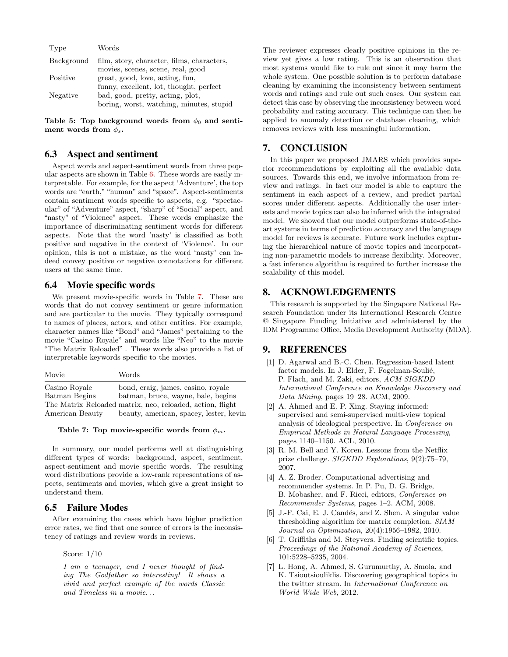| Type       | Words                                      |
|------------|--------------------------------------------|
| Background | film, story, character, films, characters, |
|            | movies, scenes, scene, real, good          |
| Positive   | great, good, love, acting, fun,            |
|            | funny, excellent, lot, thought, perfect    |
| Negative   | bad, good, pretty, acting, plot,           |
|            | boring, worst, watching, minutes, stupid   |

Table 5: Top background words from  $\phi_0$  and sentiment words from  $\phi_s$ .

## 6.3 Aspect and sentiment

Aspect words and aspect-sentiment words from three popular aspects are shown in Table 6. These words are easily interpretable. For example, for the aspect 'Adventure', the top words are "earth,""human" and "space". Aspect-sentiments contain sentiment words specific to aspects, e.g. "spectacular" of "Adventure" aspect, "sharp" of "Social" aspect, and "nasty" of "Violence" aspect. These words emphasize the importance of discriminating sentiment words for different aspects. Note that the word 'nasty' is classified as both positive and negative in the context of 'Violence'. In our opinion, this is not a mistake, as the word 'nasty' can indeed convey positive or negative connotations for different users at the same time.

## 6.4 Movie specific words

We present movie-specific words in Table 7. These are words that do not convey sentiment or genre information and are particular to the movie. They typically correspond to names of places, actors, and other entities. For example, character names like "Bond" and "James" pertaining to the movie "Casino Royale" and words like "Neo" to the movie "The Matrix Reloaded" . These words also provide a list of interpretable keywords specific to the movies.

| Movie           | Words                                                     |
|-----------------|-----------------------------------------------------------|
| Casino Royale   | bond, craig, james, casino, royale                        |
| Batman Begins   | batman, bruce, wayne, bale, begins                        |
|                 | The Matrix Reloaded matrix, neo, reloaded, action, flight |
| American Beauty | beauty, american, spacey, lester, kevin                   |

#### Table 7: Top movie-specific words from  $\phi_m$ .

In summary, our model performs well at distinguishing different types of words: background, aspect, sentiment, aspect-sentiment and movie specific words. The resulting word distributions provide a low-rank representations of aspects, sentiments and movies, which give a great insight to understand them.

## 6.5 Failure Modes

After examining the cases which have higher prediction error rates, we find that one source of errors is the inconsistency of ratings and review words in reviews.

Score: 1/10

I am a teenager, and I never thought of finding The Godfather so interesting! It shows a vivid and perfect example of the words Classic and Timeless in a movie. . .

The reviewer expresses clearly positive opinions in the review yet gives a low rating. This is an observation that most systems would like to rule out since it may harm the whole system. One possible solution is to perform database cleaning by examining the inconsistency between sentiment words and ratings and rule out such cases. Our system can detect this case by observing the inconsistency between word probability and rating accuracy. This technique can then be applied to anomaly detection or database cleaning, which removes reviews with less meaningful information.

# 7. CONCLUSION

In this paper we proposed JMARS which provides superior recommendations by exploiting all the available data sources. Towards this end, we involve information from review and ratings. In fact our model is able to capture the sentiment in each aspect of a review, and predict partial scores under different aspects. Additionally the user interests and movie topics can also be inferred with the integrated model. We showed that our model outperforms state-of-theart systems in terms of prediction accuracy and the language model for reviews is accurate. Future work includes capturing the hierarchical nature of movie topics and incorporating non-parametric models to increase flexibility. Moreover, a fast inference algorithm is required to further increase the scalability of this model.

# 8. ACKNOWLEDGEMENTS

This research is supported by the Singapore National Research Foundation under its International Research Centre @ Singapore Funding Initiative and administered by the IDM Programme Office, Media Development Authority (MDA).

## 9. REFERENCES

- [1] D. Agarwal and B.-C. Chen. Regression-based latent factor models. In J. Elder, F. Fogelman-Soulié, P. Flach, and M. Zaki, editors, ACM SIGKDD International Conference on Knowledge Discovery and Data Mining, pages 19–28. ACM, 2009.
- [2] A. Ahmed and E. P. Xing. Staying informed: supervised and semi-supervised multi-view topical analysis of ideological perspective. In Conference on Empirical Methods in Natural Language Processing, pages 1140–1150. ACL, 2010.
- [3] R. M. Bell and Y. Koren. Lessons from the Netflix prize challenge. SIGKDD Explorations, 9(2):75–79, 2007.
- [4] A. Z. Broder. Computational advertising and recommender systems. In P. Pu, D. G. Bridge, B. Mobasher, and F. Ricci, editors, Conference on Recommender Systems, pages 1–2. ACM, 2008.
- [5] J.-F. Cai, E. J. Candés, and Z. Shen. A singular value thresholding algorithm for matrix completion. SIAM Journal on Optimization, 20(4):1956–1982, 2010.
- [6] T. Griffiths and M. Steyvers. Finding scientific topics. Proceedings of the National Academy of Sciences, 101:5228–5235, 2004.
- [7] L. Hong, A. Ahmed, S. Gurumurthy, A. Smola, and K. Tsioutsiouliklis. Discovering geographical topics in the twitter stream. In International Conference on World Wide Web, 2012.